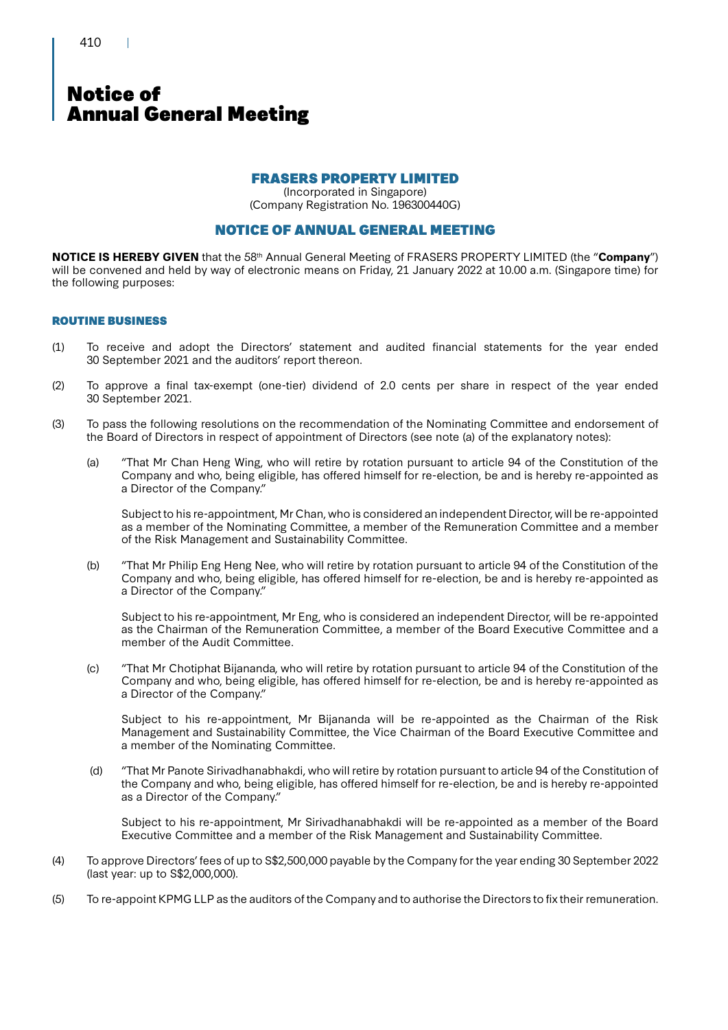410

### Notice of Annual General Meeting

### FRASERS PROPERTY LIMITED

(Incorporated in Singapore) (Company Registration No. 196300440G)

### NOTICE OF ANNUAL GENERAL MEETING

**NOTICE IS HEREBY GIVEN** that the 58th Annual General Meeting of FRASERS PROPERTY LIMITED (the "**Company**") will be convened and held by way of electronic means on Friday, 21 January 2022 at 10.00 a.m. (Singapore time) for the following purposes:

### ROUTINE BUSINESS

- (1) To receive and adopt the Directors' statement and audited financial statements for the year ended 30 September 2021 and the auditors' report thereon.
- (2) To approve a final tax-exempt (one-tier) dividend of 2.0 cents per share in respect of the year ended 30 September 2021.
- (3) To pass the following resolutions on the recommendation of the Nominating Committee and endorsement of the Board of Directors in respect of appointment of Directors (see note (a) of the explanatory notes):
	- (a) "That Mr Chan Heng Wing, who will retire by rotation pursuant to article 94 of the Constitution of the Company and who, being eligible, has offered himself for re-election, be and is hereby re-appointed as a Director of the Company."

Subject to his re-appointment, Mr Chan, who is considered an independent Director, will be re-appointed as a member of the Nominating Committee, a member of the Remuneration Committee and a member of the Risk Management and Sustainability Committee.

(b) "That Mr Philip Eng Heng Nee, who will retire by rotation pursuant to article 94 of the Constitution of the Company and who, being eligible, has offered himself for re-election, be and is hereby re-appointed as a Director of the Company."

Subject to his re-appointment, Mr Eng, who is considered an independent Director, will be re-appointed as the Chairman of the Remuneration Committee, a member of the Board Executive Committee and a member of the Audit Committee.

(c) "That Mr Chotiphat Bijananda, who will retire by rotation pursuant to article 94 of the Constitution of the Company and who, being eligible, has offered himself for re-election, be and is hereby re-appointed as a Director of the Company."

Subject to his re-appointment, Mr Bijananda will be re-appointed as the Chairman of the Risk Management and Sustainability Committee, the Vice Chairman of the Board Executive Committee and a member of the Nominating Committee.

 (d) "That Mr Panote Sirivadhanabhakdi, who will retire by rotation pursuant to article 94 of the Constitution of the Company and who, being eligible, has offered himself for re-election, be and is hereby re-appointed as a Director of the Company."

Subject to his re-appointment, Mr Sirivadhanabhakdi will be re-appointed as a member of the Board Executive Committee and a member of the Risk Management and Sustainability Committee.

- (4) To approve Directors' fees of up to S\$2,500,000 payable by the Company for the year ending 30 September 2022 (last year: up to S\$2,000,000).
- (5) To re-appoint KPMG LLP as the auditors of the Company and to authorise the Directors to fix their remuneration.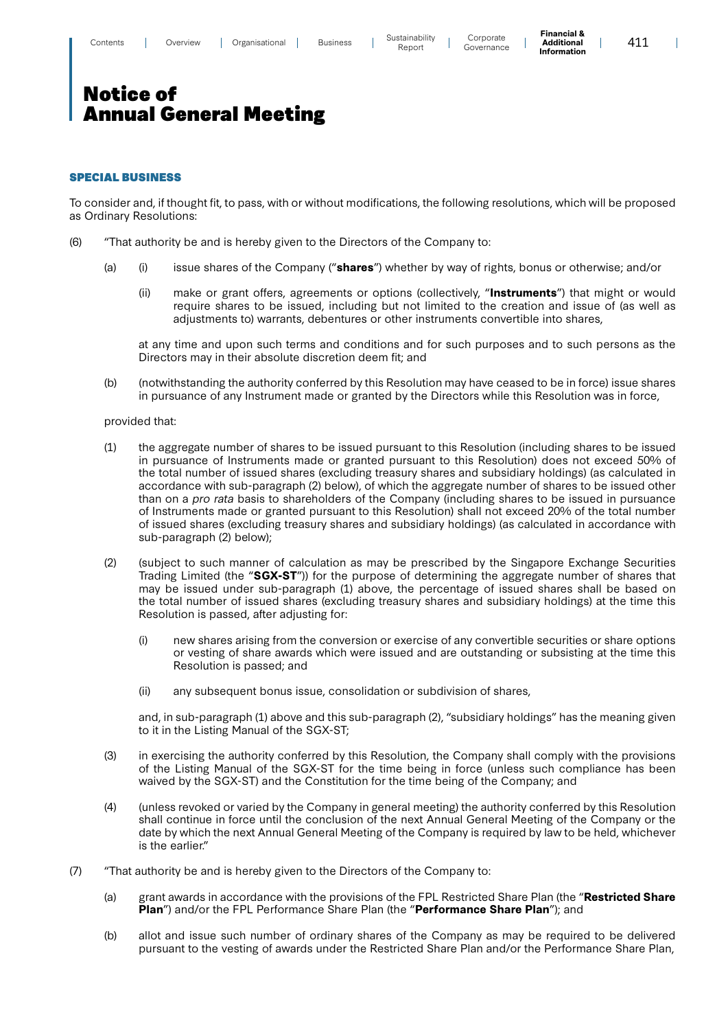**Financial & Additional Information**

 $\overline{\phantom{a}}$ 

## Notice of Annual General Meeting

### SPECIAL BUSINESS

To consider and, if thought fit, to pass, with or without modifications, the following resolutions, which will be proposed as Ordinary Resolutions:

- (6) "That authority be and is hereby given to the Directors of the Company to:
	- (a) (i) issue shares of the Company ("**shares**") whether by way of rights, bonus or otherwise; and/or
		- (ii) make or grant offers, agreements or options (collectively, "**Instruments**") that might or would require shares to be issued, including but not limited to the creation and issue of (as well as adjustments to) warrants, debentures or other instruments convertible into shares,

at any time and upon such terms and conditions and for such purposes and to such persons as the Directors may in their absolute discretion deem fit; and

(b) (notwithstanding the authority conferred by this Resolution may have ceased to be in force) issue shares in pursuance of any Instrument made or granted by the Directors while this Resolution was in force,

#### provided that:

- (1) the aggregate number of shares to be issued pursuant to this Resolution (including shares to be issued in pursuance of Instruments made or granted pursuant to this Resolution) does not exceed 50% of the total number of issued shares (excluding treasury shares and subsidiary holdings) (as calculated in accordance with sub-paragraph (2) below), of which the aggregate number of shares to be issued other than on a pro rata basis to shareholders of the Company (including shares to be issued in pursuance of Instruments made or granted pursuant to this Resolution) shall not exceed 20% of the total number of issued shares (excluding treasury shares and subsidiary holdings) (as calculated in accordance with sub-paragraph (2) below);
- (2) (subject to such manner of calculation as may be prescribed by the Singapore Exchange Securities Trading Limited (the "**SGX-ST**")) for the purpose of determining the aggregate number of shares that may be issued under sub-paragraph (1) above, the percentage of issued shares shall be based on the total number of issued shares (excluding treasury shares and subsidiary holdings) at the time this Resolution is passed, after adjusting for:
	- (i) new shares arising from the conversion or exercise of any convertible securities or share options or vesting of share awards which were issued and are outstanding or subsisting at the time this Resolution is passed; and
	- (ii) any subsequent bonus issue, consolidation or subdivision of shares,

and, in sub-paragraph (1) above and this sub-paragraph (2), "subsidiary holdings" has the meaning given to it in the Listing Manual of the SGX-ST;

- (3) in exercising the authority conferred by this Resolution, the Company shall comply with the provisions of the Listing Manual of the SGX-ST for the time being in force (unless such compliance has been waived by the SGX-ST) and the Constitution for the time being of the Company; and
- (4) (unless revoked or varied by the Company in general meeting) the authority conferred by this Resolution shall continue in force until the conclusion of the next Annual General Meeting of the Company or the date by which the next Annual General Meeting of the Company is required by law to be held, whichever is the earlier."
- (7) "That authority be and is hereby given to the Directors of the Company to:
	- (a) grant awards in accordance with the provisions of the FPL Restricted Share Plan (the "**Restricted Share Plan**") and/or the FPL Performance Share Plan (the "**Performance Share Plan**"); and
	- (b) allot and issue such number of ordinary shares of the Company as may be required to be delivered pursuant to the vesting of awards under the Restricted Share Plan and/or the Performance Share Plan,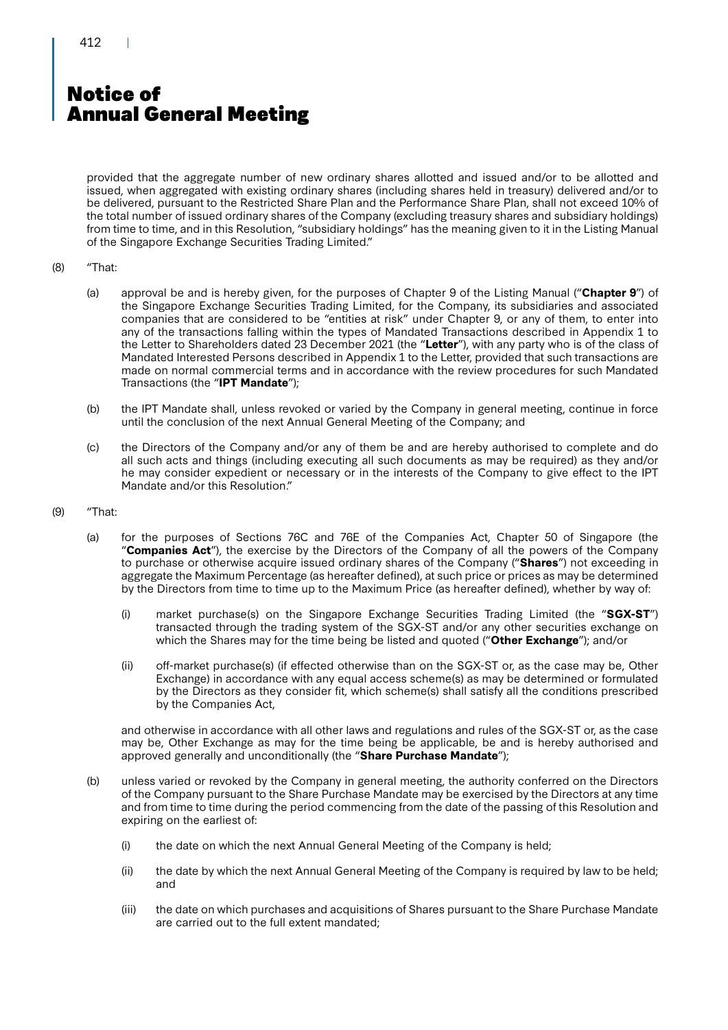# Notice of Annual General Meeting

provided that the aggregate number of new ordinary shares allotted and issued and/or to be allotted and issued, when aggregated with existing ordinary shares (including shares held in treasury) delivered and/or to be delivered, pursuant to the Restricted Share Plan and the Performance Share Plan, shall not exceed 10% of the total number of issued ordinary shares of the Company (excluding treasury shares and subsidiary holdings) from time to time, and in this Resolution, "subsidiary holdings" has the meaning given to it in the Listing Manual of the Singapore Exchange Securities Trading Limited."

#### (8) "That:

- (a) approval be and is hereby given, for the purposes of Chapter 9 of the Listing Manual ("**Chapter 9**") of the Singapore Exchange Securities Trading Limited, for the Company, its subsidiaries and associated companies that are considered to be "entities at risk" under Chapter 9, or any of them, to enter into any of the transactions falling within the types of Mandated Transactions described in Appendix 1 to the Letter to Shareholders dated 23 December 2021 (the "**Letter**"), with any party who is of the class of Mandated Interested Persons described in Appendix 1 to the Letter, provided that such transactions are made on normal commercial terms and in accordance with the review procedures for such Mandated Transactions (the "**IPT Mandate**");
- (b) the IPT Mandate shall, unless revoked or varied by the Company in general meeting, continue in force until the conclusion of the next Annual General Meeting of the Company; and
- (c) the Directors of the Company and/or any of them be and are hereby authorised to complete and do all such acts and things (including executing all such documents as may be required) as they and/or he may consider expedient or necessary or in the interests of the Company to give effect to the IPT Mandate and/or this Resolution."

#### (9) "That:

- (a) for the purposes of Sections 76C and 76E of the Companies Act, Chapter 50 of Singapore (the "**Companies Act**"), the exercise by the Directors of the Company of all the powers of the Company to purchase or otherwise acquire issued ordinary shares of the Company ("**Shares**") not exceeding in aggregate the Maximum Percentage (as hereafter defined), at such price or prices as may be determined by the Directors from time to time up to the Maximum Price (as hereafter defined), whether by way of:
	- (i) market purchase(s) on the Singapore Exchange Securities Trading Limited (the "**SGX-ST**") transacted through the trading system of the SGX-ST and/or any other securities exchange on which the Shares may for the time being be listed and quoted ("**Other Exchange**"); and/or
	- (ii) off-market purchase(s) (if effected otherwise than on the SGX-ST or, as the case may be, Other Exchange) in accordance with any equal access scheme(s) as may be determined or formulated by the Directors as they consider fit, which scheme(s) shall satisfy all the conditions prescribed by the Companies Act,

and otherwise in accordance with all other laws and regulations and rules of the SGX-ST or, as the case may be, Other Exchange as may for the time being be applicable, be and is hereby authorised and approved generally and unconditionally (the "**Share Purchase Mandate**");

- (b) unless varied or revoked by the Company in general meeting, the authority conferred on the Directors of the Company pursuant to the Share Purchase Mandate may be exercised by the Directors at any time and from time to time during the period commencing from the date of the passing of this Resolution and expiring on the earliest of:
	- (i) the date on which the next Annual General Meeting of the Company is held;
	- (ii) the date by which the next Annual General Meeting of the Company is required by law to be held; and
	- (iii) the date on which purchases and acquisitions of Shares pursuant to the Share Purchase Mandate are carried out to the full extent mandated;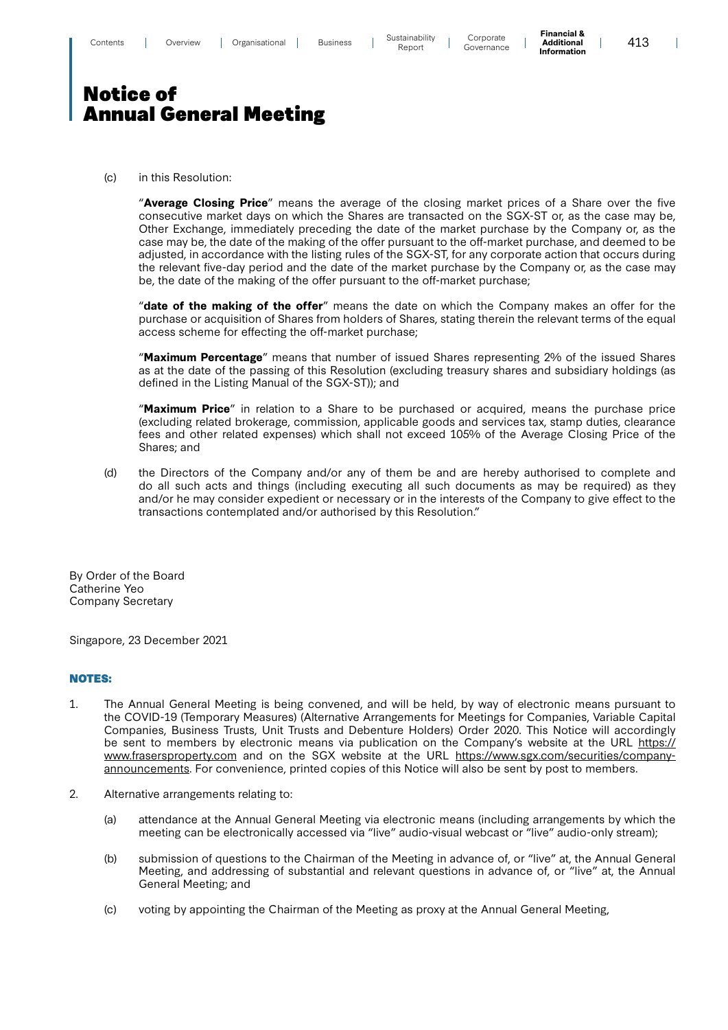**Financial & Additional Information**

 $\overline{\phantom{a}}$ 

## Notice of Annual General Meeting

(c) in this Resolution:

"**Average Closing Price**" means the average of the closing market prices of a Share over the five consecutive market days on which the Shares are transacted on the SGX-ST or, as the case may be, Other Exchange, immediately preceding the date of the market purchase by the Company or, as the case may be, the date of the making of the offer pursuant to the off-market purchase, and deemed to be adjusted, in accordance with the listing rules of the SGX-ST, for any corporate action that occurs during the relevant five-day period and the date of the market purchase by the Company or, as the case may be, the date of the making of the offer pursuant to the off-market purchase;

"**date of the making of the offer**" means the date on which the Company makes an offer for the purchase or acquisition of Shares from holders of Shares, stating therein the relevant terms of the equal access scheme for effecting the off-market purchase;

"**Maximum Percentage**" means that number of issued Shares representing 2% of the issued Shares as at the date of the passing of this Resolution (excluding treasury shares and subsidiary holdings (as defined in the Listing Manual of the SGX-ST)); and

"**Maximum Price**" in relation to a Share to be purchased or acquired, means the purchase price (excluding related brokerage, commission, applicable goods and services tax, stamp duties, clearance fees and other related expenses) which shall not exceed 105% of the Average Closing Price of the Shares; and

(d) the Directors of the Company and/or any of them be and are hereby authorised to complete and do all such acts and things (including executing all such documents as may be required) as they and/or he may consider expedient or necessary or in the interests of the Company to give effect to the transactions contemplated and/or authorised by this Resolution."

By Order of the Board Catherine Yeo Company Secretary

Singapore, 23 December 2021

### NOTES:

- 1. The Annual General Meeting is being convened, and will be held, by way of electronic means pursuant to the COVID-19 (Temporary Measures) (Alternative Arrangements for Meetings for Companies, Variable Capital Companies, Business Trusts, Unit Trusts and Debenture Holders) Order 2020. This Notice will accordingly be sent to members by electronic means via publication on the Company's website at the URL https:// www.frasersproperty.com and on the SGX website at the URL https://www.sgx.com/securities/companyannouncements. For convenience, printed copies of this Notice will also be sent by post to members.
- 2. Alternative arrangements relating to:
	- (a) attendance at the Annual General Meeting via electronic means (including arrangements by which the meeting can be electronically accessed via "live" audio-visual webcast or "live" audio-only stream);
	- (b) submission of questions to the Chairman of the Meeting in advance of, or "live" at, the Annual General Meeting, and addressing of substantial and relevant questions in advance of, or "live" at, the Annual General Meeting; and
	- (c) voting by appointing the Chairman of the Meeting as proxy at the Annual General Meeting,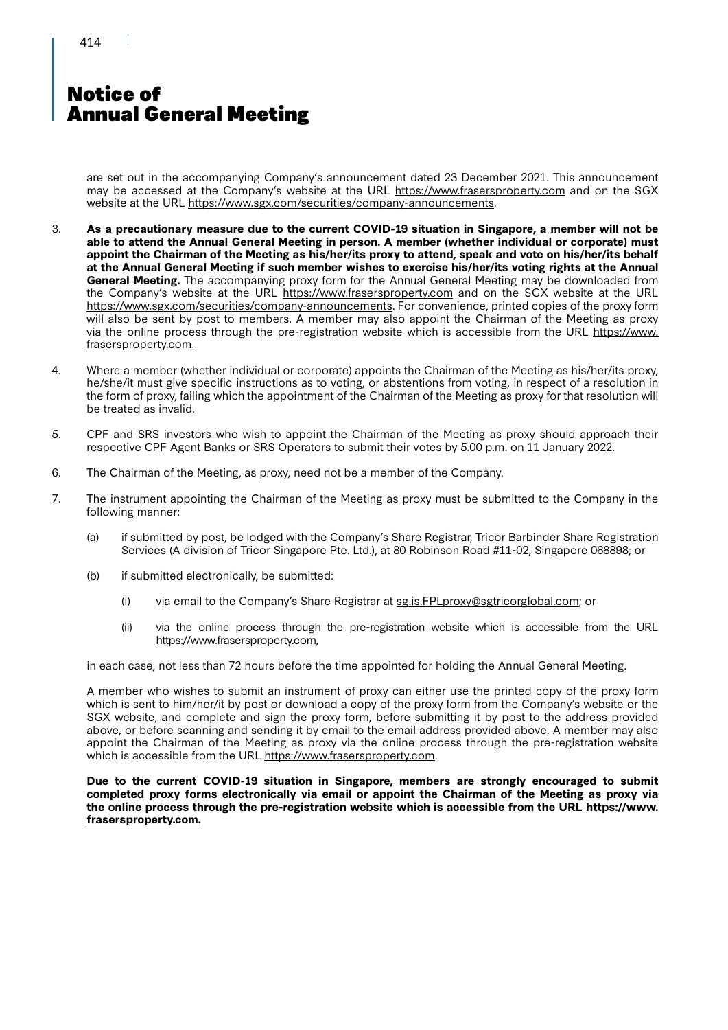# Notice of Annual General Meeting

are set out in the accompanying Company's announcement dated 23 December 2021. This announcement may be accessed at the Company's website at the URL https://www.frasersproperty.com and on the SGX website at the URL https://www.sgx.com/securities/company-announcements.

- 3. **As a precautionary measure due to the current COVID-19 situation in Singapore, a member will not be able to attend the Annual General Meeting in person. A member (whether individual or corporate) must appoint the Chairman of the Meeting as his/her/its proxy to attend, speak and vote on his/her/its behalf at the Annual General Meeting if such member wishes to exercise his/her/its voting rights at the Annual General Meeting.** The accompanying proxy form for the Annual General Meeting may be downloaded from the Company's website at the URL https://www.frasersproperty.com and on the SGX website at the URL https://www.sgx.com/securities/company-announcements. For convenience, printed copies of the proxy form will also be sent by post to members. A member may also appoint the Chairman of the Meeting as proxy via the online process through the pre-registration website which is accessible from the URL https://www. frasersproperty.com.
- 4. Where a member (whether individual or corporate) appoints the Chairman of the Meeting as his/her/its proxy, he/she/it must give specific instructions as to voting, or abstentions from voting, in respect of a resolution in the form of proxy, failing which the appointment of the Chairman of the Meeting as proxy for that resolution will be treated as invalid.
- 5. CPF and SRS investors who wish to appoint the Chairman of the Meeting as proxy should approach their respective CPF Agent Banks or SRS Operators to submit their votes by 5.00 p.m. on 11 January 2022.
- 6. The Chairman of the Meeting, as proxy, need not be a member of the Company.
- 7. The instrument appointing the Chairman of the Meeting as proxy must be submitted to the Company in the following manner:
	- (a) if submitted by post, be lodged with the Company's Share Registrar, Tricor Barbinder Share Registration Services (A division of Tricor Singapore Pte. Ltd.), at 80 Robinson Road #11-02, Singapore 068898; or
	- (b) if submitted electronically, be submitted:
		- (i) via email to the Company's Share Registrar at sg.is.FPLproxy@sgtricorglobal.com; or
		- (ii) via the online process through the pre-registration website which is accessible from the URL https://www.frasersproperty.com,

in each case, not less than 72 hours before the time appointed for holding the Annual General Meeting.

A member who wishes to submit an instrument of proxy can either use the printed copy of the proxy form which is sent to him/her/it by post or download a copy of the proxy form from the Company's website or the SGX website, and complete and sign the proxy form, before submitting it by post to the address provided above, or before scanning and sending it by email to the email address provided above. A member may also appoint the Chairman of the Meeting as proxy via the online process through the pre-registration website which is accessible from the URL https://www.frasersproperty.com.

**Due to the current COVID-19 situation in Singapore, members are strongly encouraged to submit completed proxy forms electronically via email or appoint the Chairman of the Meeting as proxy via the online process through the pre-registration website which is accessible from the URL https://www. frasersproperty.com.**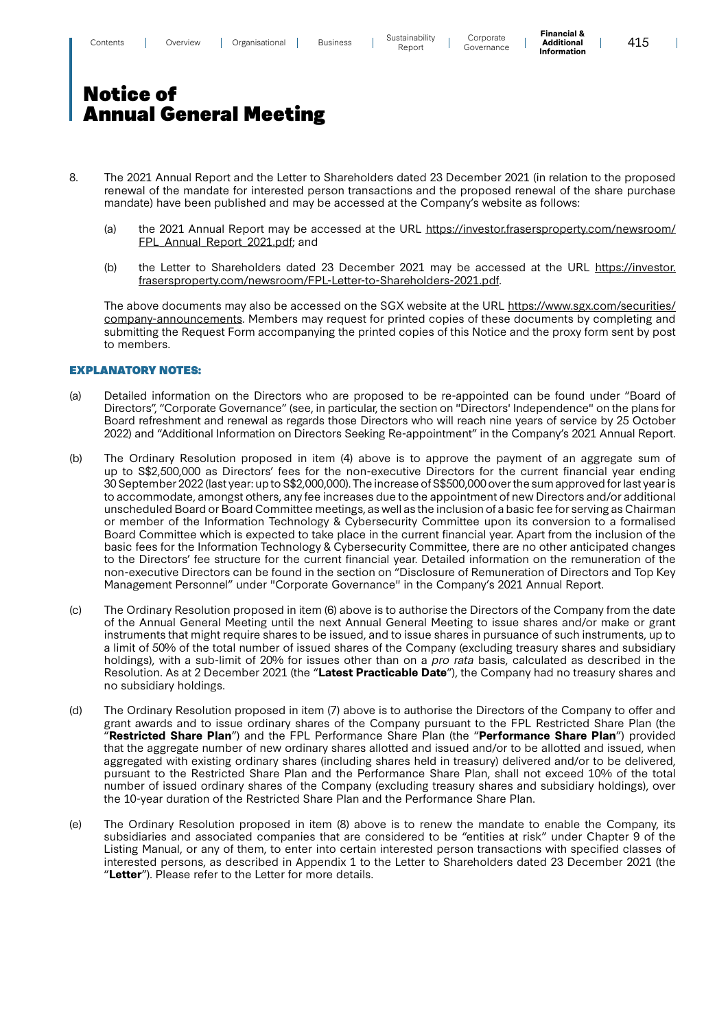**Financial & Additional Information**

 $\overline{\phantom{a}}$ 

# Notice of Annual General Meeting

- 8. The 2021 Annual Report and the Letter to Shareholders dated 23 December 2021 (in relation to the proposed renewal of the mandate for interested person transactions and the proposed renewal of the share purchase mandate) have been published and may be accessed at the Company's website as follows:
	- (a) the 2021 Annual Report may be accessed at the URL https://investor.frasersproperty.com/newsroom/ FPL\_Annual\_Report\_2021.pdf; and
	- (b) the Letter to Shareholders dated 23 December 2021 may be accessed at the URL https://investor. frasersproperty.com/newsroom/FPL-Letter-to-Shareholders-2021.pdf.

The above documents may also be accessed on the SGX website at the URL https://www.sgx.com/securities/ company-announcements. Members may request for printed copies of these documents by completing and submitting the Request Form accompanying the printed copies of this Notice and the proxy form sent by post to members.

#### EXPLANATORY NOTES:

- (a) Detailed information on the Directors who are proposed to be re-appointed can be found under "Board of Directors", "Corporate Governance" (see, in particular, the section on "Directors' Independence" on the plans for Board refreshment and renewal as regards those Directors who will reach nine years of service by 25 October 2022) and "Additional Information on Directors Seeking Re-appointment" in the Company's 2021 Annual Report.
- (b) The Ordinary Resolution proposed in item (4) above is to approve the payment of an aggregate sum of up to S\$2,500,000 as Directors' fees for the non-executive Directors for the current financial year ending 30 September 2022 (last year: up to S\$2,000,000). The increase of S\$500,000over the sum approved for last year is to accommodate, amongst others, any fee increases due to the appointment of new Directors and/or additional unscheduled Board or Board Committee meetings, as well as the inclusion of a basic fee for serving as Chairman or member of the Information Technology & Cybersecurity Committee upon its conversion to a formalised Board Committee which is expected to take place in the current financial year. Apart from the inclusion of the basic fees for the Information Technology & Cybersecurity Committee, there are no other anticipated changes to the Directors' fee structure for the current financial year. Detailed information on the remuneration of the non-executive Directors can be found in the section on "Disclosure of Remuneration of Directors and Top Key Management Personnel" under "Corporate Governance" in the Company's 2021 Annual Report.
- (c) The Ordinary Resolution proposed in item (6) above is to authorise the Directors of the Company from the date of the Annual General Meeting until the next Annual General Meeting to issue shares and/or make or grant instruments that might require shares to be issued, and to issue shares in pursuance of such instruments, up to a limit of 50% of the total number of issued shares of the Company (excluding treasury shares and subsidiary holdings), with a sub-limit of 20% for issues other than on a pro rata basis, calculated as described in the Resolution. As at 2 December 2021 (the "**Latest Practicable Date**"), the Company had no treasury shares and no subsidiary holdings.
- (d) The Ordinary Resolution proposed in item (7) above is to authorise the Directors of the Company to offer and grant awards and to issue ordinary shares of the Company pursuant to the FPL Restricted Share Plan (the "**Restricted Share Plan**") and the FPL Performance Share Plan (the "**Performance Share Plan**") provided that the aggregate number of new ordinary shares allotted and issued and/or to be allotted and issued, when aggregated with existing ordinary shares (including shares held in treasury) delivered and/or to be delivered, pursuant to the Restricted Share Plan and the Performance Share Plan, shall not exceed 10% of the total number of issued ordinary shares of the Company (excluding treasury shares and subsidiary holdings), over the 10-year duration of the Restricted Share Plan and the Performance Share Plan.
- (e) The Ordinary Resolution proposed in item (8) above is to renew the mandate to enable the Company, its subsidiaries and associated companies that are considered to be "entities at risk" under Chapter 9 of the Listing Manual, or any of them, to enter into certain interested person transactions with specified classes of interested persons, as described in Appendix 1 to the Letter to Shareholders dated 23 December 2021 (the "**Letter**"). Please refer to the Letter for more details.